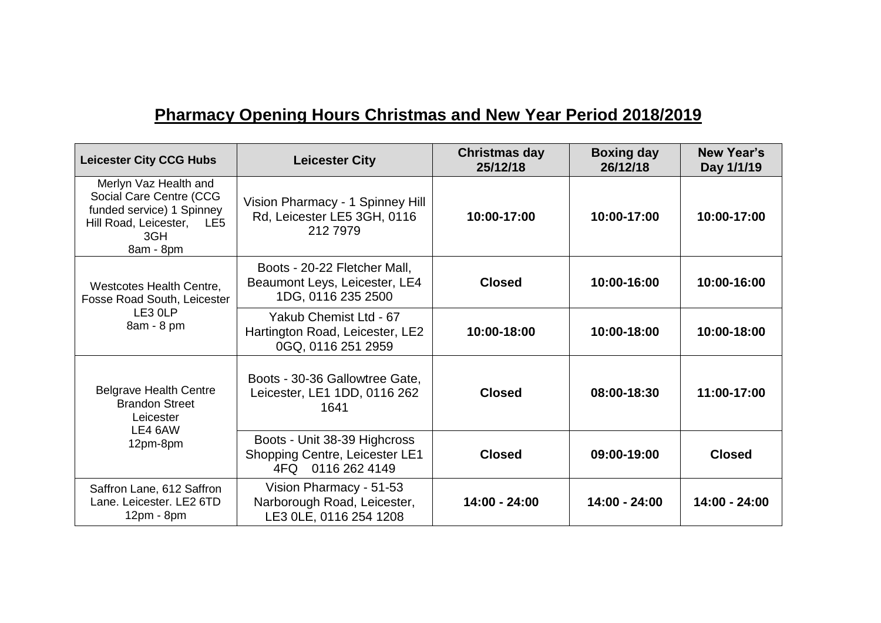## **Pharmacy Opening Hours Christmas and New Year Period 2018/2019**

| <b>Leicester City CCG Hubs</b>                                                                                                 | <b>Leicester City</b>                                                               | Christmas day<br>25/12/18 | <b>Boxing day</b><br>26/12/18 | <b>New Year's</b><br>Day 1/1/19 |
|--------------------------------------------------------------------------------------------------------------------------------|-------------------------------------------------------------------------------------|---------------------------|-------------------------------|---------------------------------|
| Merlyn Vaz Health and<br>Social Care Centre (CCG<br>funded service) 1 Spinney<br>Hill Road, Leicester, LE5<br>3GH<br>8am - 8pm | Vision Pharmacy - 1 Spinney Hill<br>Rd, Leicester LE5 3GH, 0116<br>212 7979         | 10:00-17:00               | 10:00-17:00                   | 10:00-17:00                     |
| Westcotes Health Centre,<br>Fosse Road South, Leicester<br>LE3 OLP<br>8am - 8 pm                                               | Boots - 20-22 Fletcher Mall,<br>Beaumont Leys, Leicester, LE4<br>1DG, 0116 235 2500 | <b>Closed</b>             | 10:00-16:00                   | 10:00-16:00                     |
|                                                                                                                                | Yakub Chemist Ltd - 67<br>Hartington Road, Leicester, LE2<br>0GQ, 0116 251 2959     | 10:00-18:00               | 10:00-18:00                   | 10:00-18:00                     |
| <b>Belgrave Health Centre</b><br><b>Brandon Street</b><br>Leicester<br>LE4 6AW<br>12pm-8pm                                     | Boots - 30-36 Gallowtree Gate,<br>Leicester, LE1 1DD, 0116 262<br>1641              | <b>Closed</b>             | 08:00-18:30                   | 11:00-17:00                     |
|                                                                                                                                | Boots - Unit 38-39 Highcross<br>Shopping Centre, Leicester LE1<br>4FQ 0116 262 4149 | <b>Closed</b>             | 09:00-19:00                   | <b>Closed</b>                   |
| Saffron Lane, 612 Saffron<br>Lane. Leicester. LE2 6TD<br>$12pm - 8pm$                                                          | Vision Pharmacy - 51-53<br>Narborough Road, Leicester,<br>LE3 OLE, 0116 254 1208    | 14:00 - 24:00             | 14:00 - 24:00                 | 14:00 - 24:00                   |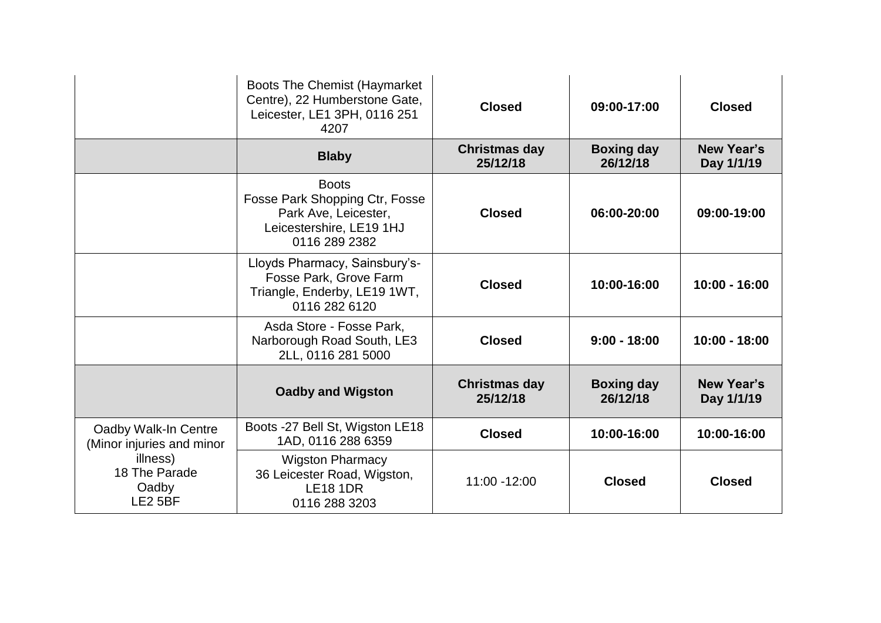|                                                                                                    | <b>Boots The Chemist (Haymarket</b><br>Centre), 22 Humberstone Gate,<br>Leicester, LE1 3PH, 0116 251<br>4207        | <b>Closed</b>                    | 09:00-17:00                   | <b>Closed</b>                   |
|----------------------------------------------------------------------------------------------------|---------------------------------------------------------------------------------------------------------------------|----------------------------------|-------------------------------|---------------------------------|
|                                                                                                    | <b>Blaby</b>                                                                                                        | <b>Christmas day</b><br>25/12/18 | <b>Boxing day</b><br>26/12/18 | <b>New Year's</b><br>Day 1/1/19 |
|                                                                                                    | <b>Boots</b><br>Fosse Park Shopping Ctr, Fosse<br>Park Ave, Leicester,<br>Leicestershire, LE19 1HJ<br>0116 289 2382 | <b>Closed</b>                    | 06:00-20:00                   | 09:00-19:00                     |
|                                                                                                    | Lloyds Pharmacy, Sainsbury's-<br>Fosse Park, Grove Farm<br>Triangle, Enderby, LE19 1WT,<br>0116 282 6120            | <b>Closed</b>                    | 10:00-16:00                   | $10:00 - 16:00$                 |
|                                                                                                    | Asda Store - Fosse Park,<br>Narborough Road South, LE3<br>2LL, 0116 281 5000                                        | <b>Closed</b>                    | $9:00 - 18:00$                | $10:00 - 18:00$                 |
|                                                                                                    | <b>Oadby and Wigston</b>                                                                                            | <b>Christmas day</b><br>25/12/18 | <b>Boxing day</b><br>26/12/18 | <b>New Year's</b><br>Day 1/1/19 |
| Oadby Walk-In Centre<br>(Minor injuries and minor<br>illness)<br>18 The Parade<br>Oadby<br>LE2 5BF | Boots -27 Bell St, Wigston LE18<br>1AD, 0116 288 6359                                                               | <b>Closed</b>                    | 10:00-16:00                   | 10:00-16:00                     |
|                                                                                                    | <b>Wigston Pharmacy</b><br>36 Leicester Road, Wigston,<br><b>LE18 1DR</b><br>0116 288 3203                          | 11:00 -12:00                     | <b>Closed</b>                 | <b>Closed</b>                   |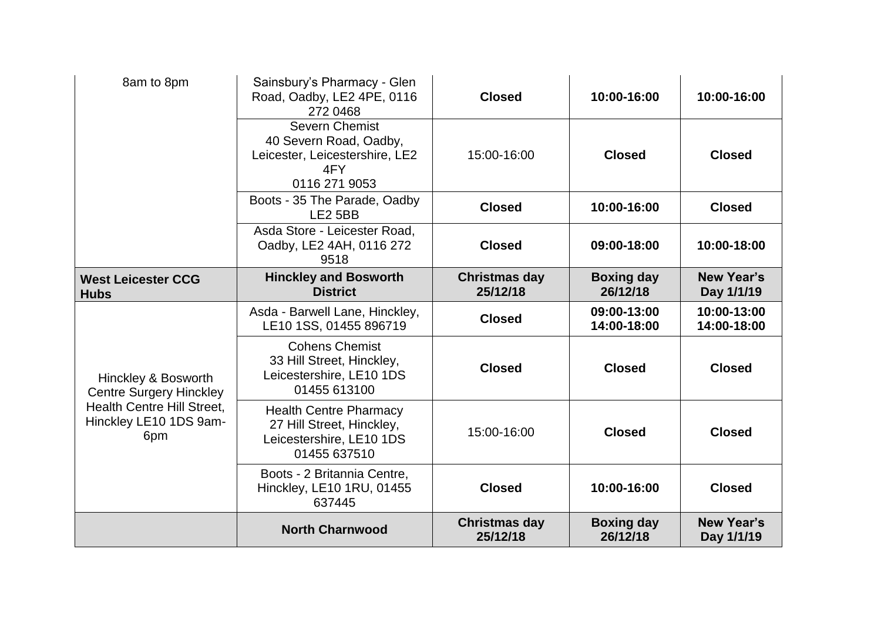| 8am to 8pm                                                                                                                  | Sainsbury's Pharmacy - Glen<br>Road, Oadby, LE2 4PE, 0116<br>272 0468                                     | <b>Closed</b>                    | 10:00-16:00                   | 10:00-16:00                     |
|-----------------------------------------------------------------------------------------------------------------------------|-----------------------------------------------------------------------------------------------------------|----------------------------------|-------------------------------|---------------------------------|
|                                                                                                                             | <b>Severn Chemist</b><br>40 Severn Road, Oadby,<br>Leicester, Leicestershire, LE2<br>4FY<br>0116 271 9053 | 15:00-16:00                      | <b>Closed</b>                 | <b>Closed</b>                   |
|                                                                                                                             | Boots - 35 The Parade, Oadby<br>LE <sub>2</sub> 5BB                                                       | <b>Closed</b>                    | 10:00-16:00                   | <b>Closed</b>                   |
|                                                                                                                             | Asda Store - Leicester Road,<br>Oadby, LE2 4AH, 0116 272<br>9518                                          | <b>Closed</b>                    | 09:00-18:00                   | 10:00-18:00                     |
| <b>West Leicester CCG</b><br><b>Hubs</b>                                                                                    | <b>Hinckley and Bosworth</b><br><b>District</b>                                                           | <b>Christmas day</b><br>25/12/18 | <b>Boxing day</b><br>26/12/18 | <b>New Year's</b><br>Day 1/1/19 |
|                                                                                                                             | Asda - Barwell Lane, Hinckley,<br>LE10 1SS, 01455 896719                                                  | <b>Closed</b>                    | 09:00-13:00<br>14:00-18:00    | 10:00-13:00<br>14:00-18:00      |
| Hinckley & Bosworth<br><b>Centre Surgery Hinckley</b><br><b>Health Centre Hill Street,</b><br>Hinckley LE10 1DS 9am-<br>6pm | <b>Cohens Chemist</b><br>33 Hill Street, Hinckley,<br>Leicestershire, LE10 1DS<br>01455 613100            | <b>Closed</b>                    | <b>Closed</b>                 | <b>Closed</b>                   |
|                                                                                                                             | <b>Health Centre Pharmacy</b><br>27 Hill Street, Hinckley,<br>Leicestershire, LE10 1DS<br>01455 637510    | 15:00-16:00                      | <b>Closed</b>                 | <b>Closed</b>                   |
|                                                                                                                             | Boots - 2 Britannia Centre,<br>Hinckley, LE10 1RU, 01455<br>637445                                        | <b>Closed</b>                    | 10:00-16:00                   | <b>Closed</b>                   |
|                                                                                                                             | <b>North Charnwood</b>                                                                                    | <b>Christmas day</b><br>25/12/18 | <b>Boxing day</b><br>26/12/18 | <b>New Year's</b><br>Day 1/1/19 |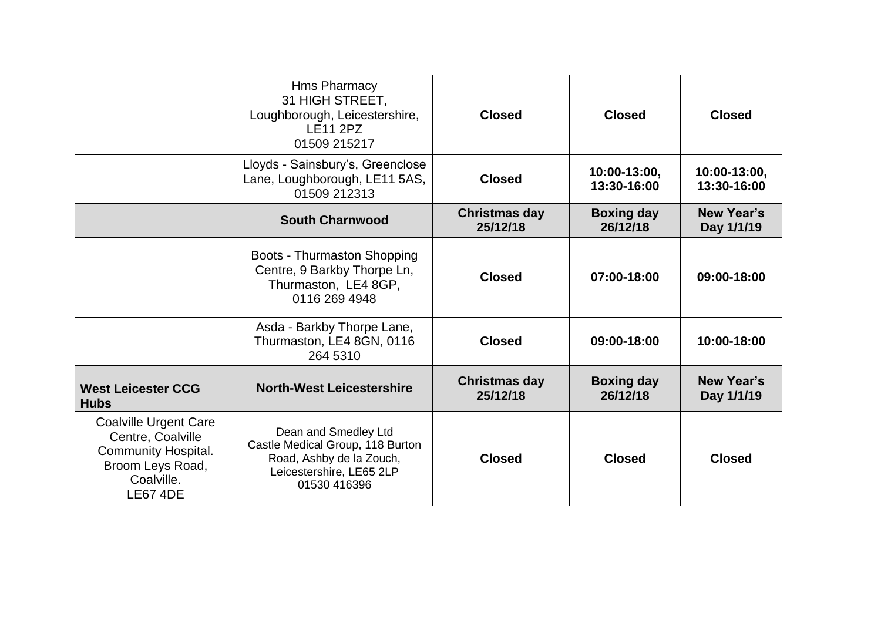|                                                                                                                                      | <b>Hms Pharmacy</b><br>31 HIGH STREET,<br>Loughborough, Leicestershire,<br><b>LE11 2PZ</b><br>01509 215217                       | <b>Closed</b>                    | <b>Closed</b>                 | <b>Closed</b>                   |
|--------------------------------------------------------------------------------------------------------------------------------------|----------------------------------------------------------------------------------------------------------------------------------|----------------------------------|-------------------------------|---------------------------------|
|                                                                                                                                      | Lloyds - Sainsbury's, Greenclose<br>Lane, Loughborough, LE11 5AS,<br>01509 212313                                                | <b>Closed</b>                    | 10:00-13:00,<br>13:30-16:00   | 10:00-13:00.<br>13:30-16:00     |
|                                                                                                                                      | <b>South Charnwood</b>                                                                                                           | <b>Christmas day</b><br>25/12/18 | <b>Boxing day</b><br>26/12/18 | <b>New Year's</b><br>Day 1/1/19 |
|                                                                                                                                      | Boots - Thurmaston Shopping<br>Centre, 9 Barkby Thorpe Ln,<br>Thurmaston, LE4 8GP,<br>0116 269 4948                              | <b>Closed</b>                    | 07:00-18:00                   | 09:00-18:00                     |
|                                                                                                                                      | Asda - Barkby Thorpe Lane,<br>Thurmaston, LE4 8GN, 0116<br>264 5310                                                              | <b>Closed</b>                    | 09:00-18:00                   | 10:00-18:00                     |
| <b>West Leicester CCG</b><br><b>Hubs</b>                                                                                             | <b>North-West Leicestershire</b>                                                                                                 | <b>Christmas day</b><br>25/12/18 | <b>Boxing day</b><br>26/12/18 | <b>New Year's</b><br>Day 1/1/19 |
| <b>Coalville Urgent Care</b><br>Centre, Coalville<br><b>Community Hospital.</b><br>Broom Leys Road,<br>Coalville.<br><b>LE67 4DE</b> | Dean and Smedley Ltd<br>Castle Medical Group, 118 Burton<br>Road, Ashby de la Zouch,<br>Leicestershire, LE65 2LP<br>01530 416396 | <b>Closed</b>                    | <b>Closed</b>                 | <b>Closed</b>                   |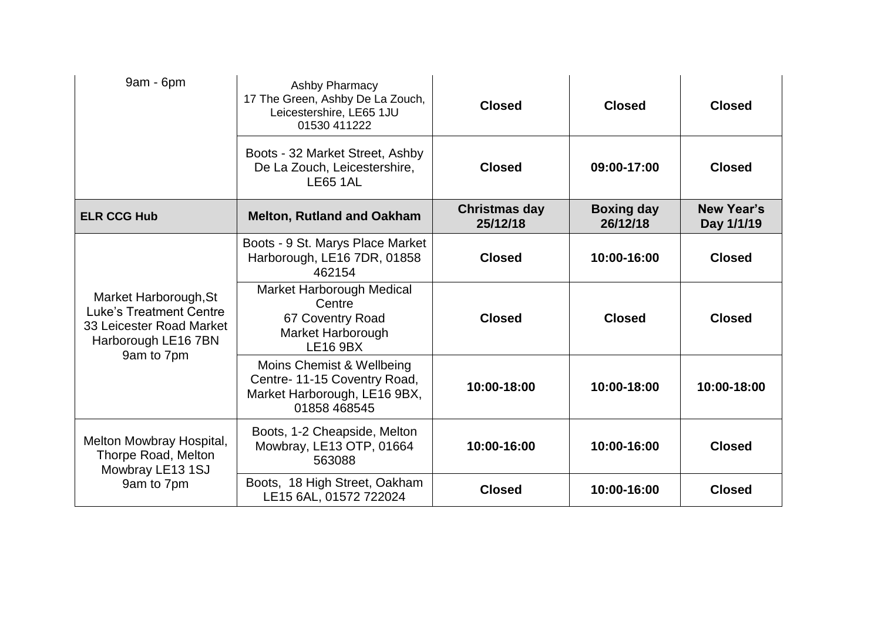| 9am - 6pm                                                                                                                | Ashby Pharmacy<br>17 The Green, Ashby De La Zouch,<br>Leicestershire, LE65 1JU<br>01530 411222           | <b>Closed</b>                    | <b>Closed</b>                 | <b>Closed</b>                   |
|--------------------------------------------------------------------------------------------------------------------------|----------------------------------------------------------------------------------------------------------|----------------------------------|-------------------------------|---------------------------------|
|                                                                                                                          | Boots - 32 Market Street, Ashby<br>De La Zouch, Leicestershire,<br><b>LE65 1AL</b>                       | <b>Closed</b>                    | 09:00-17:00                   | <b>Closed</b>                   |
| <b>ELR CCG Hub</b>                                                                                                       | <b>Melton, Rutland and Oakham</b>                                                                        | <b>Christmas day</b><br>25/12/18 | <b>Boxing day</b><br>26/12/18 | <b>New Year's</b><br>Day 1/1/19 |
| Market Harborough, St<br><b>Luke's Treatment Centre</b><br>33 Leicester Road Market<br>Harborough LE16 7BN<br>9am to 7pm | Boots - 9 St. Marys Place Market<br>Harborough, LE16 7DR, 01858<br>462154                                | <b>Closed</b>                    | 10:00-16:00                   | <b>Closed</b>                   |
|                                                                                                                          | Market Harborough Medical<br>Centre<br>67 Coventry Road<br>Market Harborough<br><b>LE16 9BX</b>          | <b>Closed</b>                    | <b>Closed</b>                 | <b>Closed</b>                   |
|                                                                                                                          | Moins Chemist & Wellbeing<br>Centre-11-15 Coventry Road,<br>Market Harborough, LE16 9BX,<br>01858 468545 | 10:00-18:00                      | 10:00-18:00                   | 10:00-18:00                     |
| Melton Mowbray Hospital,<br>Thorpe Road, Melton<br>Mowbray LE13 1SJ<br>9am to 7pm                                        | Boots, 1-2 Cheapside, Melton<br>Mowbray, LE13 OTP, 01664<br>563088                                       | 10:00-16:00                      | 10:00-16:00                   | <b>Closed</b>                   |
|                                                                                                                          | Boots, 18 High Street, Oakham<br>LE15 6AL, 01572 722024                                                  | <b>Closed</b>                    | 10:00-16:00                   | <b>Closed</b>                   |